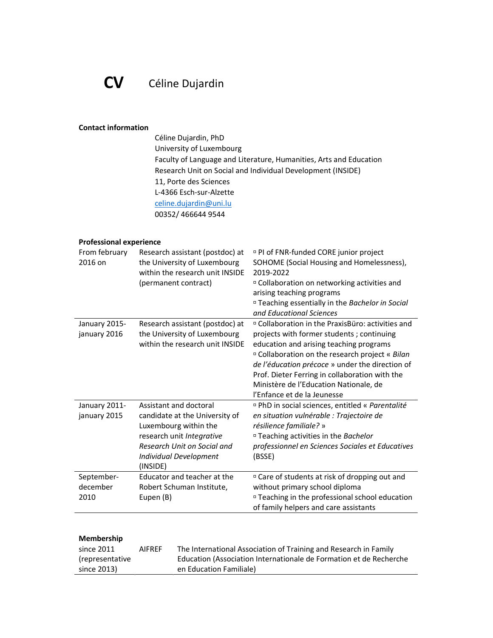# CV Céline Dujardin

#### Contact information

 Céline Dujardin, PhD University of Luxembourg Faculty of Language and Literature, Humanities, Arts and Education Research Unit on Social and Individual Development (INSIDE) 11, Porte des Sciences L-4366 Esch-sur-Alzette celine.dujardin@uni.lu 00352/ 466644 9544

### Professional experience

| From february<br>2016 on       | Research assistant (postdoc) at<br>the University of Luxembourg<br>within the research unit INSIDE<br>(permanent contract)                                                          | <sup>D</sup> PI of FNR-funded CORE junior project<br>SOHOME (Social Housing and Homelessness),<br>2019-2022<br><sup>n</sup> Collaboration on networking activities and<br>arising teaching programs<br><sup>D</sup> Teaching essentially in the Bachelor in Social<br>and Educational Sciences                                                                                        |
|--------------------------------|-------------------------------------------------------------------------------------------------------------------------------------------------------------------------------------|---------------------------------------------------------------------------------------------------------------------------------------------------------------------------------------------------------------------------------------------------------------------------------------------------------------------------------------------------------------------------------------|
| January 2015-<br>january 2016  | Research assistant (postdoc) at<br>the University of Luxembourg<br>within the research unit INSIDE                                                                                  | □ Collaboration in the PraxisBüro: activities and<br>projects with former students; continuing<br>education and arising teaching programs<br><sup>n</sup> Collaboration on the research project « Bilan<br>de l'éducation précoce » under the direction of<br>Prof. Dieter Ferring in collaboration with the<br>Ministère de l'Education Nationale, de<br>l'Enfance et de la Jeunesse |
| January 2011-<br>january 2015  | Assistant and doctoral<br>candidate at the University of<br>Luxembourg within the<br>research unit Integrative<br>Research Unit on Social and<br>Individual Development<br>(INSIDE) | <sup>¤</sup> PhD in social sciences, entitled « Parentalité<br>en situation vulnérable : Trajectoire de<br>résilience familiale? »<br><sup>□</sup> Teaching activities in the Bachelor<br>professionnel en Sciences Sociales et Educatives<br>(BSSE)                                                                                                                                  |
| September-<br>december<br>2010 | Educator and teacher at the<br>Robert Schuman Institute,<br>Eupen (B)                                                                                                               | <sup>D</sup> Care of students at risk of dropping out and<br>without primary school diploma<br><sup>D</sup> Teaching in the professional school education<br>of family helpers and care assistants                                                                                                                                                                                    |

| <b>Membership</b> |  |
|-------------------|--|
|-------------------|--|

| since 2011      | <b>AIFREF</b> | The International Association of Training and Research in Family   |
|-----------------|---------------|--------------------------------------------------------------------|
| (representative |               | Education (Association Internationale de Formation et de Recherche |
| since 2013)     |               | en Education Familiale)                                            |